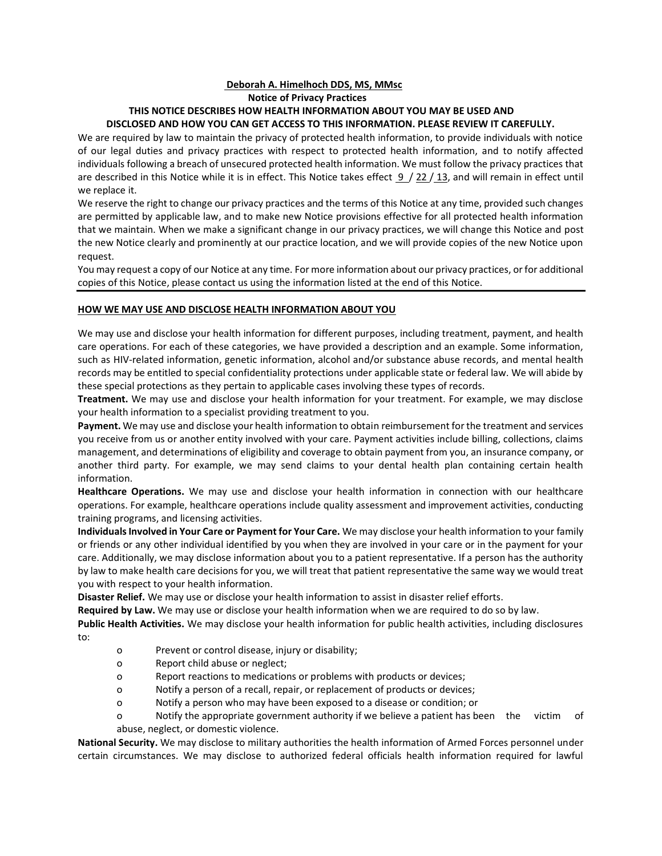# **Deborah A. Himelhoch DDS, MS, MMsc Notice of Privacy Practices THIS NOTICE DESCRIBES HOW HEALTH INFORMATION ABOUT YOU MAY BE USED AND DISCLOSED AND HOW YOU CAN GET ACCESS TO THIS INFORMATION. PLEASE REVIEW IT CAREFULLY.**

We are required by law to maintain the privacy of protected health information, to provide individuals with notice of our legal duties and privacy practices with respect to protected health information, and to notify affected individuals following a breach of unsecured protected health information. We must follow the privacy practices that are described in this Notice while it is in effect. This Notice takes effect  $9/22/13$ , and will remain in effect until we replace it.

We reserve the right to change our privacy practices and the terms of this Notice at any time, provided such changes are permitted by applicable law, and to make new Notice provisions effective for all protected health information that we maintain. When we make a significant change in our privacy practices, we will change this Notice and post the new Notice clearly and prominently at our practice location, and we will provide copies of the new Notice upon request.

You may request a copy of our Notice at any time. For more information about our privacy practices, or for additional copies of this Notice, please contact us using the information listed at the end of this Notice.

# **HOW WE MAY USE AND DISCLOSE HEALTH INFORMATION ABOUT YOU**

We may use and disclose your health information for different purposes, including treatment, payment, and health care operations. For each of these categories, we have provided a description and an example. Some information, such as HIV-related information, genetic information, alcohol and/or substance abuse records, and mental health records may be entitled to special confidentiality protections under applicable state or federal law. We will abide by these special protections as they pertain to applicable cases involving these types of records.

**Treatment.** We may use and disclose your health information for your treatment. For example, we may disclose your health information to a specialist providing treatment to you.

**Payment.** We may use and disclose your health information to obtain reimbursement for the treatment and services you receive from us or another entity involved with your care. Payment activities include billing, collections, claims management, and determinations of eligibility and coverage to obtain payment from you, an insurance company, or another third party. For example, we may send claims to your dental health plan containing certain health information.

**Healthcare Operations.** We may use and disclose your health information in connection with our healthcare operations. For example, healthcare operations include quality assessment and improvement activities, conducting training programs, and licensing activities.

**Individuals Involved in Your Care or Payment for Your Care.** We may disclose your health information to your family or friends or any other individual identified by you when they are involved in your care or in the payment for your care. Additionally, we may disclose information about you to a patient representative. If a person has the authority by law to make health care decisions for you, we will treat that patient representative the same way we would treat you with respect to your health information.

**Disaster Relief.** We may use or disclose your health information to assist in disaster relief efforts.

**Required by Law.** We may use or disclose your health information when we are required to do so by law.

**Public Health Activities.** We may disclose your health information for public health activities, including disclosures to:

- o Prevent or control disease, injury or disability;
- o Report child abuse or neglect;
- o Report reactions to medications or problems with products or devices;
- o Notify a person of a recall, repair, or replacement of products or devices;
- o Notify a person who may have been exposed to a disease or condition; or
- o Notify the appropriate government authority if we believe a patient has been the victim of abuse, neglect, or domestic violence.

**National Security.** We may disclose to military authorities the health information of Armed Forces personnel under certain circumstances. We may disclose to authorized federal officials health information required for lawful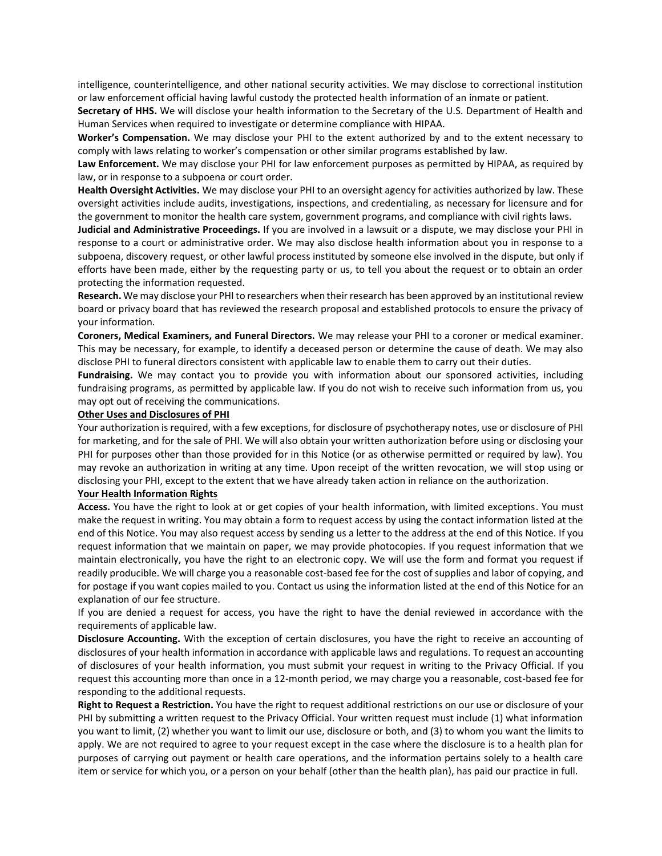intelligence, counterintelligence, and other national security activities. We may disclose to correctional institution or law enforcement official having lawful custody the protected health information of an inmate or patient.

**Secretary of HHS.** We will disclose your health information to the Secretary of the U.S. Department of Health and Human Services when required to investigate or determine compliance with HIPAA.

**Worker's Compensation.** We may disclose your PHI to the extent authorized by and to the extent necessary to comply with laws relating to worker's compensation or other similar programs established by law.

**Law Enforcement.** We may disclose your PHI for law enforcement purposes as permitted by HIPAA, as required by law, or in response to a subpoena or court order.

**Health Oversight Activities.** We may disclose your PHI to an oversight agency for activities authorized by law. These oversight activities include audits, investigations, inspections, and credentialing, as necessary for licensure and for the government to monitor the health care system, government programs, and compliance with civil rights laws.

**Judicial and Administrative Proceedings.** If you are involved in a lawsuit or a dispute, we may disclose your PHI in response to a court or administrative order. We may also disclose health information about you in response to a subpoena, discovery request, or other lawful process instituted by someone else involved in the dispute, but only if efforts have been made, either by the requesting party or us, to tell you about the request or to obtain an order protecting the information requested.

**Research.** We may disclose your PHI to researchers when their research has been approved by an institutional review board or privacy board that has reviewed the research proposal and established protocols to ensure the privacy of your information.

**Coroners, Medical Examiners, and Funeral Directors.** We may release your PHI to a coroner or medical examiner. This may be necessary, for example, to identify a deceased person or determine the cause of death. We may also disclose PHI to funeral directors consistent with applicable law to enable them to carry out their duties.

**Fundraising.** We may contact you to provide you with information about our sponsored activities, including fundraising programs, as permitted by applicable law. If you do not wish to receive such information from us, you may opt out of receiving the communications.

#### **Other Uses and Disclosures of PHI**

Your authorization is required, with a few exceptions, for disclosure of psychotherapy notes, use or disclosure of PHI for marketing, and for the sale of PHI. We will also obtain your written authorization before using or disclosing your PHI for purposes other than those provided for in this Notice (or as otherwise permitted or required by law). You may revoke an authorization in writing at any time. Upon receipt of the written revocation, we will stop using or disclosing your PHI, except to the extent that we have already taken action in reliance on the authorization.

### **Your Health Information Rights**

**Access.** You have the right to look at or get copies of your health information, with limited exceptions. You must make the request in writing. You may obtain a form to request access by using the contact information listed at the end of this Notice. You may also request access by sending us a letter to the address at the end of this Notice. If you request information that we maintain on paper, we may provide photocopies. If you request information that we maintain electronically, you have the right to an electronic copy. We will use the form and format you request if readily producible. We will charge you a reasonable cost-based fee for the cost of supplies and labor of copying, and for postage if you want copies mailed to you. Contact us using the information listed at the end of this Notice for an explanation of our fee structure.

If you are denied a request for access, you have the right to have the denial reviewed in accordance with the requirements of applicable law.

**Disclosure Accounting.** With the exception of certain disclosures, you have the right to receive an accounting of disclosures of your health information in accordance with applicable laws and regulations. To request an accounting of disclosures of your health information, you must submit your request in writing to the Privacy Official. If you request this accounting more than once in a 12-month period, we may charge you a reasonable, cost-based fee for responding to the additional requests.

**Right to Request a Restriction.** You have the right to request additional restrictions on our use or disclosure of your PHI by submitting a written request to the Privacy Official. Your written request must include (1) what information you want to limit, (2) whether you want to limit our use, disclosure or both, and (3) to whom you want the limits to apply. We are not required to agree to your request except in the case where the disclosure is to a health plan for purposes of carrying out payment or health care operations, and the information pertains solely to a health care item or service for which you, or a person on your behalf (other than the health plan), has paid our practice in full.